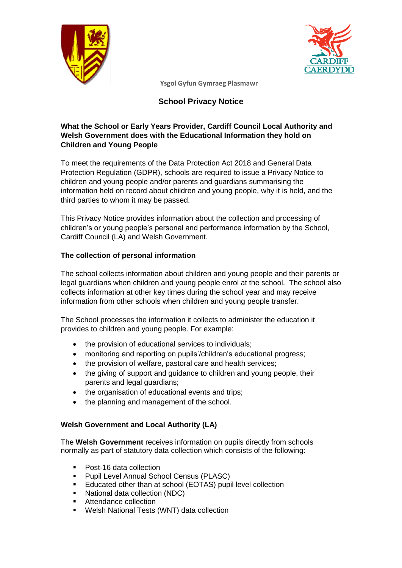



# **School Privacy Notice**

## **What the School or Early Years Provider, Cardiff Council Local Authority and Welsh Government does with the Educational Information they hold on Children and Young People**

To meet the requirements of the Data Protection Act 2018 and General Data Protection Regulation (GDPR), schools are required to issue a Privacy Notice to children and young people and/or parents and guardians summarising the information held on record about children and young people, why it is held, and the third parties to whom it may be passed.

This Privacy Notice provides information about the collection and processing of children's or young people's personal and performance information by the School, Cardiff Council (LA) and Welsh Government.

### **The collection of personal information**

The school collects information about children and young people and their parents or legal guardians when children and young people enrol at the school. The school also collects information at other key times during the school year and may receive information from other schools when children and young people transfer.

The School processes the information it collects to administer the education it provides to children and young people. For example:

- the provision of educational services to individuals;
- monitoring and reporting on pupils'/children's educational progress;
- the provision of welfare, pastoral care and health services;
- the giving of support and guidance to children and young people, their parents and legal guardians;
- the organisation of educational events and trips:
- the planning and management of the school.

#### **Welsh Government and Local Authority (LA)**

The **Welsh Government** receives information on pupils directly from schools normally as part of statutory data collection which consists of the following:

- Post-16 data collection
- Pupil Level Annual School Census (PLASC)<br>■ Educated other than at school (FOTAS) pupi
- Educated other than at school (EOTAS) pupil level collection
- National data collection (NDC)
- Attendance collection
- Welsh National Tests (WNT) data collection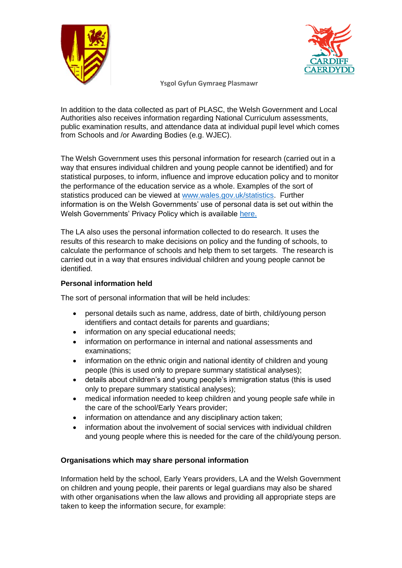



In addition to the data collected as part of PLASC, the Welsh Government and Local Authorities also receives information regarding National Curriculum assessments, public examination results, and attendance data at individual pupil level which comes from Schools and /or Awarding Bodies (e.g. WJEC).

The Welsh Government uses this personal information for research (carried out in a way that ensures individual children and young people cannot be identified) and for statistical purposes, to inform, influence and improve education policy and to monitor the performance of the education service as a whole. Examples of the sort of statistics produced can be viewed at [www.wales.gov.uk/statistics.](http://www.wales.gov.uk/statistics) Further information is on the Welsh Governments' use of personal data is set out within the Welsh Governments' Privacy Policy which is available [here.](https://gov.wales/topics/educationandskills/schoolshome/schooldata/ims/datamanagementims/?lang=en) 

The LA also uses the personal information collected to do research. It uses the results of this research to make decisions on policy and the funding of schools, to calculate the performance of schools and help them to set targets. The research is carried out in a way that ensures individual children and young people cannot be identified.

## **Personal information held**

The sort of personal information that will be held includes:

- personal details such as name, address, date of birth, child/young person identifiers and contact details for parents and guardians;
- information on any special educational needs;
- information on performance in internal and national assessments and examinations;
- information on the ethnic origin and national identity of children and young people (this is used only to prepare summary statistical analyses);
- details about children's and young people's immigration status (this is used only to prepare summary statistical analyses);
- medical information needed to keep children and young people safe while in the care of the school/Early Years provider;
- information on attendance and any disciplinary action taken:
- information about the involvement of social services with individual children and young people where this is needed for the care of the child/young person.

## **Organisations which may share personal information**

Information held by the school, Early Years providers, LA and the Welsh Government on children and young people, their parents or legal guardians may also be shared with other organisations when the law allows and providing all appropriate steps are taken to keep the information secure, for example: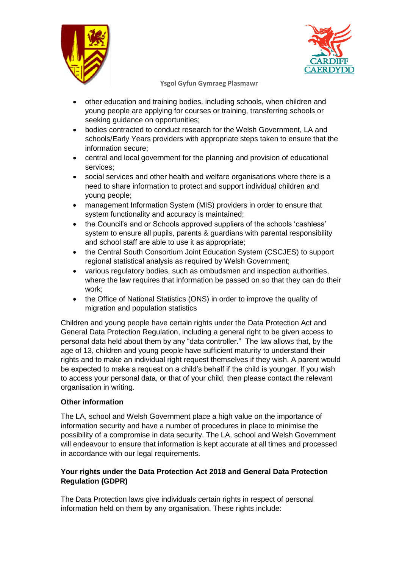



- other education and training bodies, including schools, when children and young people are applying for courses or training, transferring schools or seeking guidance on opportunities;
- bodies contracted to conduct research for the Welsh Government, LA and schools/Early Years providers with appropriate steps taken to ensure that the information secure;
- central and local government for the planning and provision of educational services;
- social services and other health and welfare organisations where there is a need to share information to protect and support individual children and young people;
- management Information System (MIS) providers in order to ensure that system functionality and accuracy is maintained;
- the Council's and or Schools approved suppliers of the schools 'cashless' system to ensure all pupils, parents & guardians with parental responsibility and school staff are able to use it as appropriate;
- the Central South Consortium Joint Education System (CSCJES) to support regional statistical analysis as required by Welsh Government;
- various regulatory bodies, such as ombudsmen and inspection authorities, where the law requires that information be passed on so that they can do their work;
- the Office of National Statistics (ONS) in order to improve the quality of migration and population statistics

Children and young people have certain rights under the Data Protection Act and General Data Protection Regulation, including a general right to be given access to personal data held about them by any "data controller." The law allows that, by the age of 13, children and young people have sufficient maturity to understand their rights and to make an individual right request themselves if they wish. A parent would be expected to make a request on a child's behalf if the child is younger. If you wish to access your personal data, or that of your child, then please contact the relevant organisation in writing.

## **Other information**

The LA, school and Welsh Government place a high value on the importance of information security and have a number of procedures in place to minimise the possibility of a compromise in data security. The LA, school and Welsh Government will endeavour to ensure that information is kept accurate at all times and processed in accordance with our legal requirements.

## **Your rights under the Data Protection Act 2018 and General Data Protection Regulation (GDPR)**

The Data Protection laws give individuals certain rights in respect of personal information held on them by any organisation. These rights include: